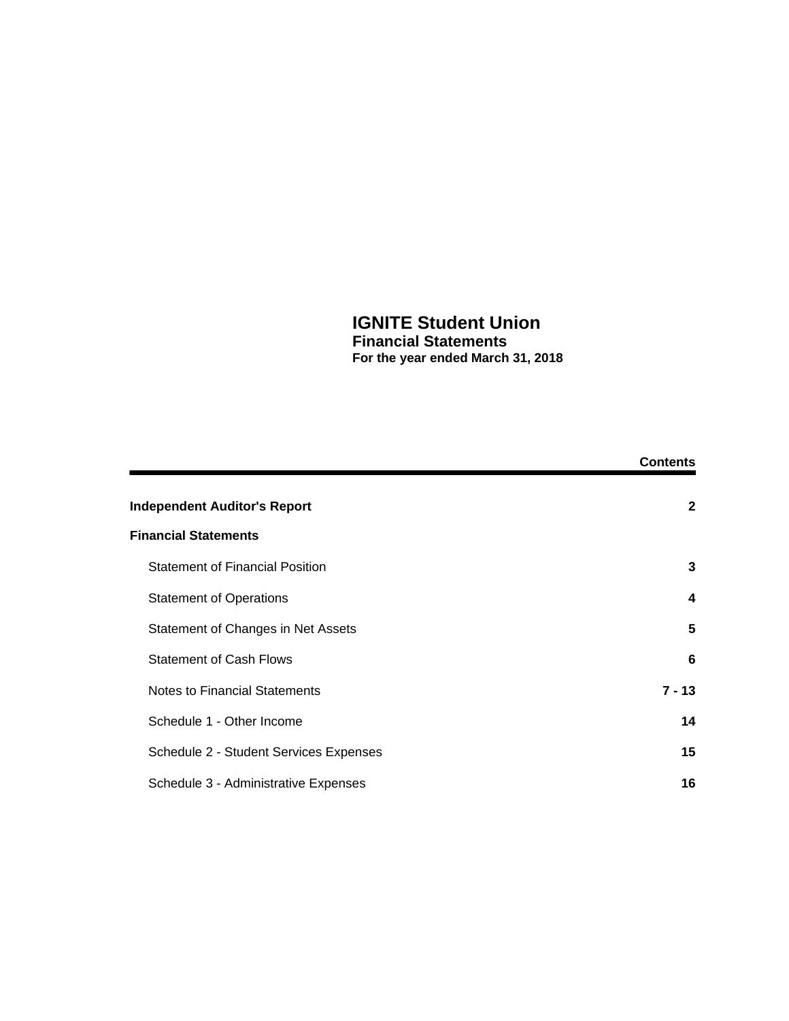# **IGNITE Student Union Financial Statements**

**For the year ended March 31, 2018**

|                                        | <b>Contents</b> |
|----------------------------------------|-----------------|
| <b>Independent Auditor's Report</b>    | $\mathbf{2}$    |
| <b>Financial Statements</b>            |                 |
| <b>Statement of Financial Position</b> | 3               |
| <b>Statement of Operations</b>         | 4               |
| Statement of Changes in Net Assets     | 5               |
| <b>Statement of Cash Flows</b>         | 6               |
| Notes to Financial Statements          | $7 - 13$        |
| Schedule 1 - Other Income              | 14              |
| Schedule 2 - Student Services Expenses | 15              |
| Schedule 3 - Administrative Expenses   | 16              |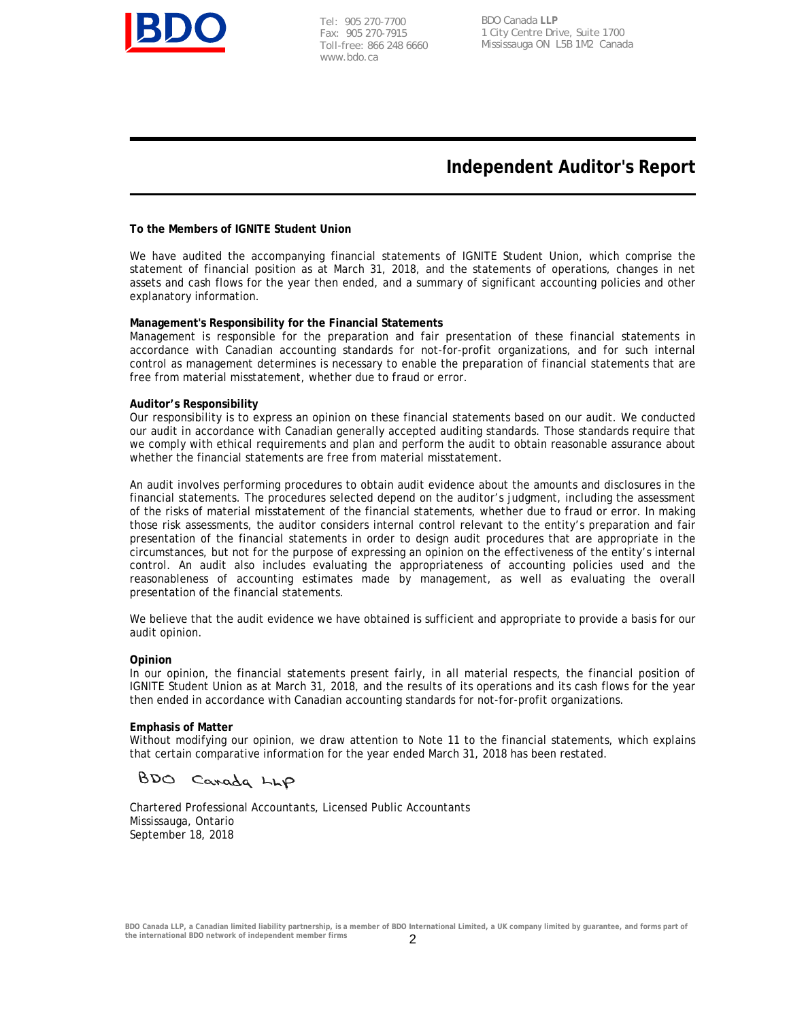

Tel: 905 270-7700 Fax: 905 270-7915 Toll-free: 866 248 6660 www.bdo.ca

BDO Canada **LLP** 1 City Centre Drive, Suite 1700 Mississauga ON L5B 1M2 Canada

## **Independent Auditor's Report**

#### **To the Members of IGNITE Student Union**

We have audited the accompanying financial statements of IGNITE Student Union, which comprise the statement of financial position as at March 31, 2018, and the statements of operations, changes in net assets and cash flows for the year then ended, and a summary of significant accounting policies and other explanatory information.

#### **Management's Responsibility for the Financial Statements**

Management is responsible for the preparation and fair presentation of these financial statements in accordance with Canadian accounting standards for not-for-profit organizations, and for such internal control as management determines is necessary to enable the preparation of financial statements that are free from material misstatement, whether due to fraud or error.

#### **Auditor's Responsibility**

Our responsibility is to express an opinion on these financial statements based on our audit. We conducted our audit in accordance with Canadian generally accepted auditing standards. Those standards require that we comply with ethical requirements and plan and perform the audit to obtain reasonable assurance about whether the financial statements are free from material misstatement.

An audit involves performing procedures to obtain audit evidence about the amounts and disclosures in the financial statements. The procedures selected depend on the auditor's judgment, including the assessment of the risks of material misstatement of the financial statements, whether due to fraud or error. In making those risk assessments, the auditor considers internal control relevant to the entity's preparation and fair presentation of the financial statements in order to design audit procedures that are appropriate in the circumstances, but not for the purpose of expressing an opinion on the effectiveness of the entity's internal control. An audit also includes evaluating the appropriateness of accounting policies used and the reasonableness of accounting estimates made by management, as well as evaluating the overall presentation of the financial statements.

We believe that the audit evidence we have obtained is sufficient and appropriate to provide a basis for our audit opinion.

#### **Opinion**

In our opinion, the financial statements present fairly, in all material respects, the financial position of IGNITE Student Union as at March 31, 2018, and the results of its operations and its cash flows for the year then ended in accordance with Canadian accounting standards for not-for-profit organizations.

#### **Emphasis of Matter**

Without modifying our opinion, we draw attention to Note 11 to the financial statements, which explains that certain comparative information for the year ended March 31, 2018 has been restated.

BDO Carada LLP

Chartered Professional Accountants, Licensed Public Accountants Mississauga, Ontario September 18, 2018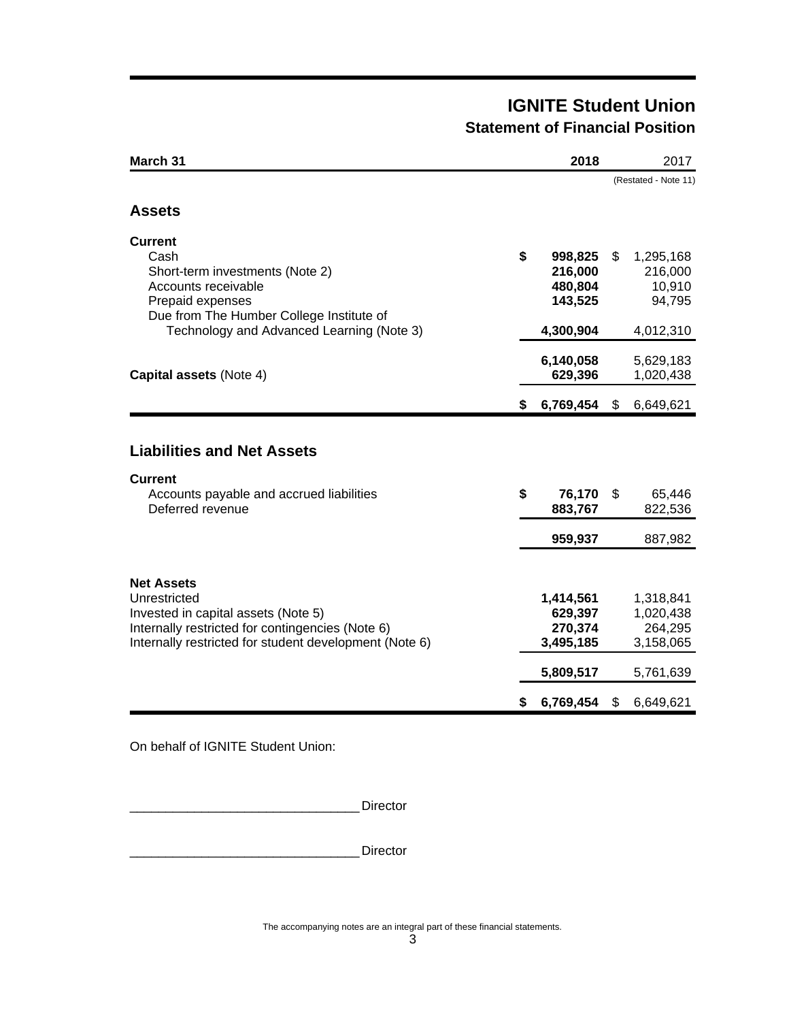# **IGNITE Student Union Statement of Financial Position**

| March 31                                                                                                                                                                                      |    | 2018                                                                   |    | 2017                                                                     |
|-----------------------------------------------------------------------------------------------------------------------------------------------------------------------------------------------|----|------------------------------------------------------------------------|----|--------------------------------------------------------------------------|
|                                                                                                                                                                                               |    |                                                                        |    | (Restated - Note 11)                                                     |
| <b>Assets</b>                                                                                                                                                                                 |    |                                                                        |    |                                                                          |
| <b>Current</b><br>Cash<br>Short-term investments (Note 2)<br>Accounts receivable<br>Prepaid expenses<br>Due from The Humber College Institute of<br>Technology and Advanced Learning (Note 3) | \$ | 998,825<br>216,000<br>480,804<br>143,525<br>4,300,904                  | \$ | 1,295,168<br>216,000<br>10,910<br>94,795<br>4,012,310                    |
| Capital assets (Note 4)                                                                                                                                                                       |    | 6,140,058<br>629,396                                                   |    | 5,629,183<br>1,020,438                                                   |
|                                                                                                                                                                                               | S. | 6,769,454                                                              | S. | 6,649,621                                                                |
| <b>Liabilities and Net Assets</b><br><b>Current</b><br>Accounts payable and accrued liabilities<br>Deferred revenue                                                                           | \$ | 76,170<br>883,767                                                      | \$ | 65,446<br>822,536                                                        |
|                                                                                                                                                                                               |    | 959,937                                                                |    | 887,982                                                                  |
| <b>Net Assets</b><br>Unrestricted<br>Invested in capital assets (Note 5)<br>Internally restricted for contingencies (Note 6)<br>Internally restricted for student development (Note 6)        | \$ | 1,414,561<br>629,397<br>270,374<br>3,495,185<br>5,809,517<br>6,769,454 | \$ | 1,318,841<br>1,020,438<br>264,295<br>3,158,065<br>5,761,639<br>6,649,621 |
|                                                                                                                                                                                               |    |                                                                        |    |                                                                          |

On behalf of IGNITE Student Union:

\_\_\_\_\_\_\_\_\_\_\_\_\_\_\_\_\_\_\_\_\_\_\_\_\_\_\_\_\_\_\_\_ Director

\_\_\_\_\_\_\_\_\_\_\_\_\_\_\_\_\_\_\_\_\_\_\_\_\_\_\_\_\_\_\_\_ Director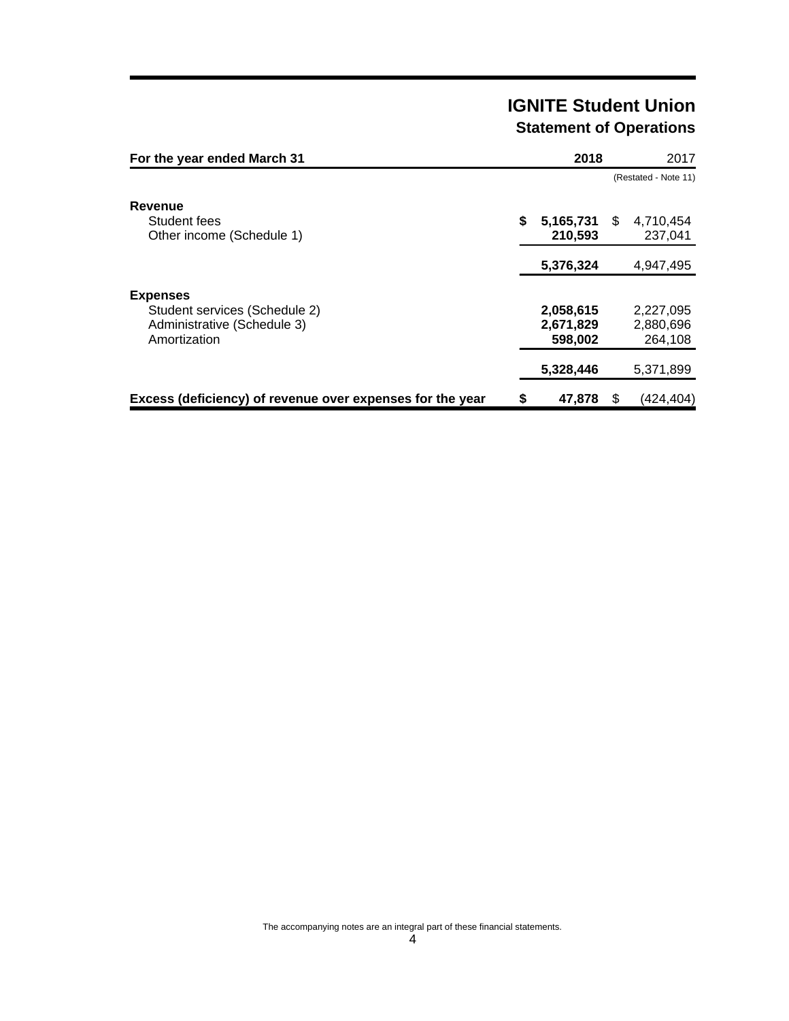# **IGNITE Student Union Statement of Operations**

| For the year ended March 31                                                                     | 2018                              | 2017                              |
|-------------------------------------------------------------------------------------------------|-----------------------------------|-----------------------------------|
|                                                                                                 |                                   | (Restated - Note 11)              |
| Revenue<br>Student fees<br>Other income (Schedule 1)                                            | \$<br>5,165,731<br>210,593        | \$<br>4,710,454<br>237,041        |
|                                                                                                 | 5,376,324                         | 4,947,495                         |
| <b>Expenses</b><br>Student services (Schedule 2)<br>Administrative (Schedule 3)<br>Amortization | 2,058,615<br>2,671,829<br>598,002 | 2,227,095<br>2,880,696<br>264.108 |
|                                                                                                 | 5,328,446                         | 5,371,899                         |
| Excess (deficiency) of revenue over expenses for the year                                       | \$<br>47.878                      | \$<br>(424.404)                   |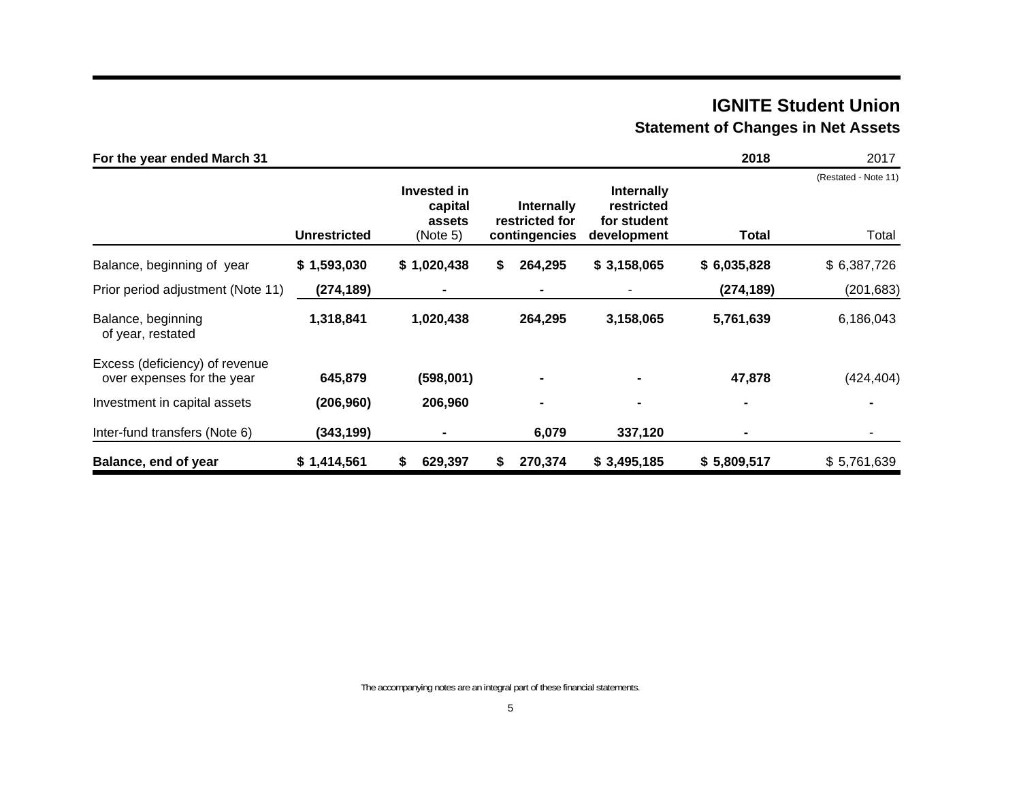# **IGNITE Student Union Statement of Changes in Net Assets**

| For the year ended March 31                                  |              |                                              |                                               |                                                               | 2018           | 2017                          |
|--------------------------------------------------------------|--------------|----------------------------------------------|-----------------------------------------------|---------------------------------------------------------------|----------------|-------------------------------|
|                                                              | Unrestricted | Invested in<br>capital<br>assets<br>(Note 5) | Internally<br>restricted for<br>contingencies | <b>Internally</b><br>restricted<br>for student<br>development | Total          | (Restated - Note 11)<br>Total |
| Balance, beginning of year                                   | \$1,593,030  | \$1,020,438                                  | 264,295<br>\$                                 | \$3,158,065                                                   | \$6,035,828    | \$6,387,726                   |
| Prior period adjustment (Note 11)                            | (274, 189)   | ۰                                            | ۰                                             |                                                               | (274, 189)     | (201, 683)                    |
| Balance, beginning<br>of year, restated                      | 1,318,841    | 1,020,438                                    | 264,295                                       | 3,158,065                                                     | 5,761,639      | 6,186,043                     |
| Excess (deficiency) of revenue<br>over expenses for the year | 645,879      | (598,001)                                    |                                               |                                                               | 47,878         | (424, 404)                    |
| Investment in capital assets                                 | (206, 960)   | 206,960                                      | $\blacksquare$                                | $\blacksquare$                                                | $\blacksquare$ |                               |
| Inter-fund transfers (Note 6)                                | (343, 199)   | $\blacksquare$                               | 6,079                                         | 337,120                                                       | $\blacksquare$ |                               |
| Balance, end of year                                         | \$1,414,561  | 629,397<br>\$                                | 270,374<br>S                                  | \$3,495,185                                                   | \$5,809,517    | \$5,761,639                   |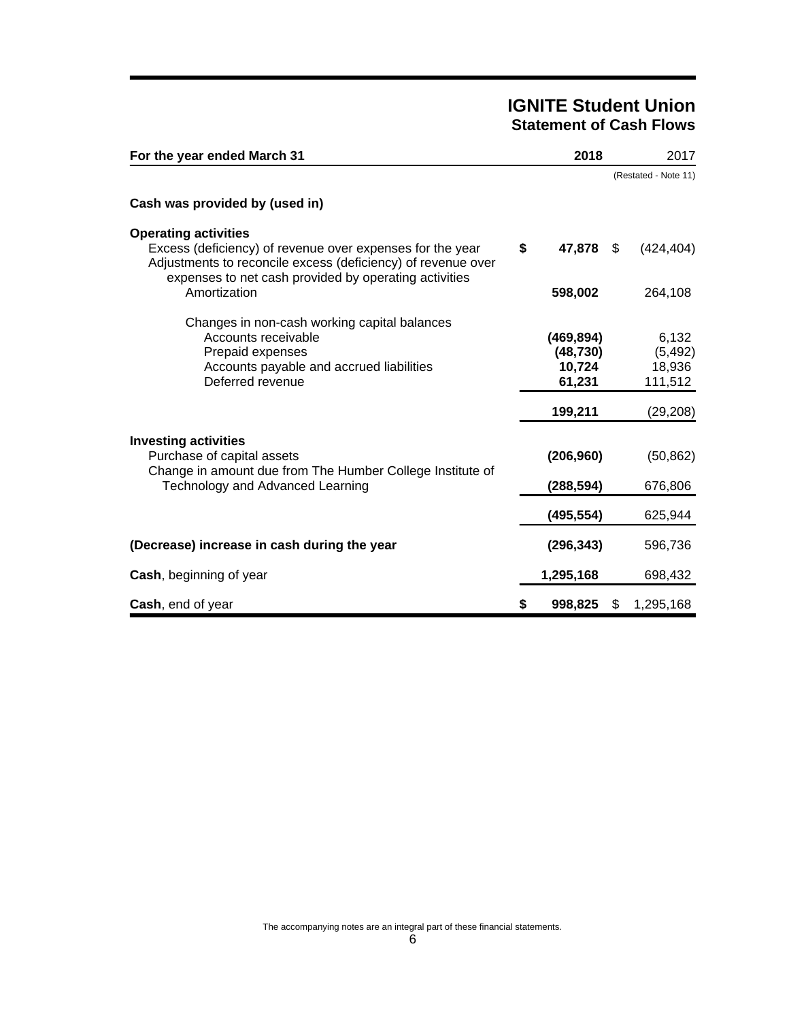# **IGNITE Student Union Statement of Cash Flows**

| For the year ended March 31                                                                                                                                                                                       | 2018                                        | 2017                                   |
|-------------------------------------------------------------------------------------------------------------------------------------------------------------------------------------------------------------------|---------------------------------------------|----------------------------------------|
|                                                                                                                                                                                                                   |                                             | (Restated - Note 11)                   |
| Cash was provided by (used in)                                                                                                                                                                                    |                                             |                                        |
| <b>Operating activities</b><br>Excess (deficiency) of revenue over expenses for the year<br>Adjustments to reconcile excess (deficiency) of revenue over<br>expenses to net cash provided by operating activities | \$<br>47,878                                | \$<br>(424, 404)                       |
| Amortization                                                                                                                                                                                                      | 598,002                                     | 264,108                                |
| Changes in non-cash working capital balances<br>Accounts receivable<br>Prepaid expenses<br>Accounts payable and accrued liabilities<br>Deferred revenue                                                           | (469, 894)<br>(48, 730)<br>10,724<br>61,231 | 6,132<br>(5, 492)<br>18,936<br>111,512 |
|                                                                                                                                                                                                                   | 199,211                                     | (29, 208)                              |
| <b>Investing activities</b><br>Purchase of capital assets<br>Change in amount due from The Humber College Institute of<br>Technology and Advanced Learning                                                        | (206, 960)<br>(288,594)                     | (50, 862)<br>676,806                   |
|                                                                                                                                                                                                                   | (495, 554)                                  | 625,944                                |
| (Decrease) increase in cash during the year                                                                                                                                                                       | (296, 343)                                  | 596,736                                |
| Cash, beginning of year                                                                                                                                                                                           | 1,295,168                                   | 698,432                                |
| Cash, end of year                                                                                                                                                                                                 | \$<br>998,825                               | \$<br>1,295,168                        |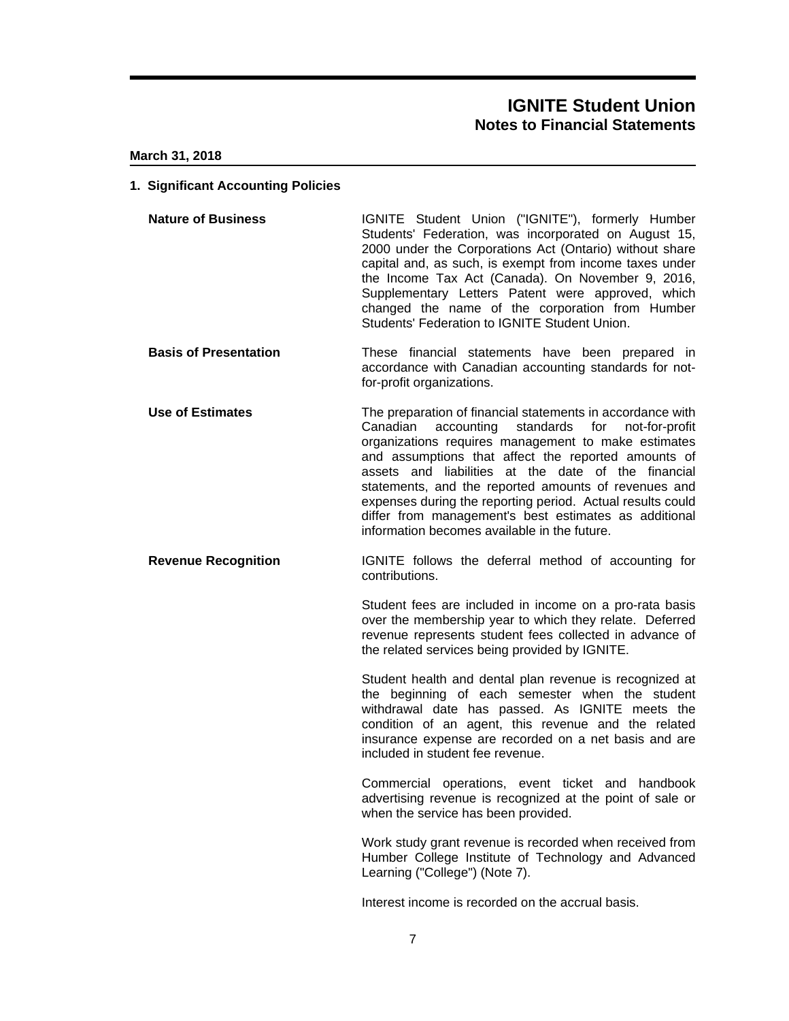#### **March 31, 2018**

#### **1. Significant Accounting Policies**

- **Nature of Business IGNITE** Student Union ("IGNITE"), formerly Humber Students' Federation, was incorporated on August 15, 2000 under the Corporations Act (Ontario) without share capital and, as such, is exempt from income taxes under the Income Tax Act (Canada). On November 9, 2016, Supplementary Letters Patent were approved, which changed the name of the corporation from Humber Students' Federation to IGNITE Student Union.
- **Basis of Presentation** These financial statements have been prepared in accordance with Canadian accounting standards for notfor-profit organizations.
- **Use of Estimates** The preparation of financial statements in accordance with Canadian accounting standards for not-for-profit organizations requires management to make estimates and assumptions that affect the reported amounts of assets and liabilities at the date of the financial statements, and the reported amounts of revenues and expenses during the reporting period. Actual results could differ from management's best estimates as additional information becomes available in the future.
- **Revenue Recognition IGNITE** follows the deferral method of accounting for contributions.

Student fees are included in income on a pro-rata basis over the membership year to which they relate. Deferred revenue represents student fees collected in advance of the related services being provided by IGNITE.

Student health and dental plan revenue is recognized at the beginning of each semester when the student withdrawal date has passed. As IGNITE meets the condition of an agent, this revenue and the related insurance expense are recorded on a net basis and are included in student fee revenue.

Commercial operations, event ticket and handbook advertising revenue is recognized at the point of sale or when the service has been provided.

Work study grant revenue is recorded when received from Humber College Institute of Technology and Advanced Learning ("College") (Note 7).

Interest income is recorded on the accrual basis.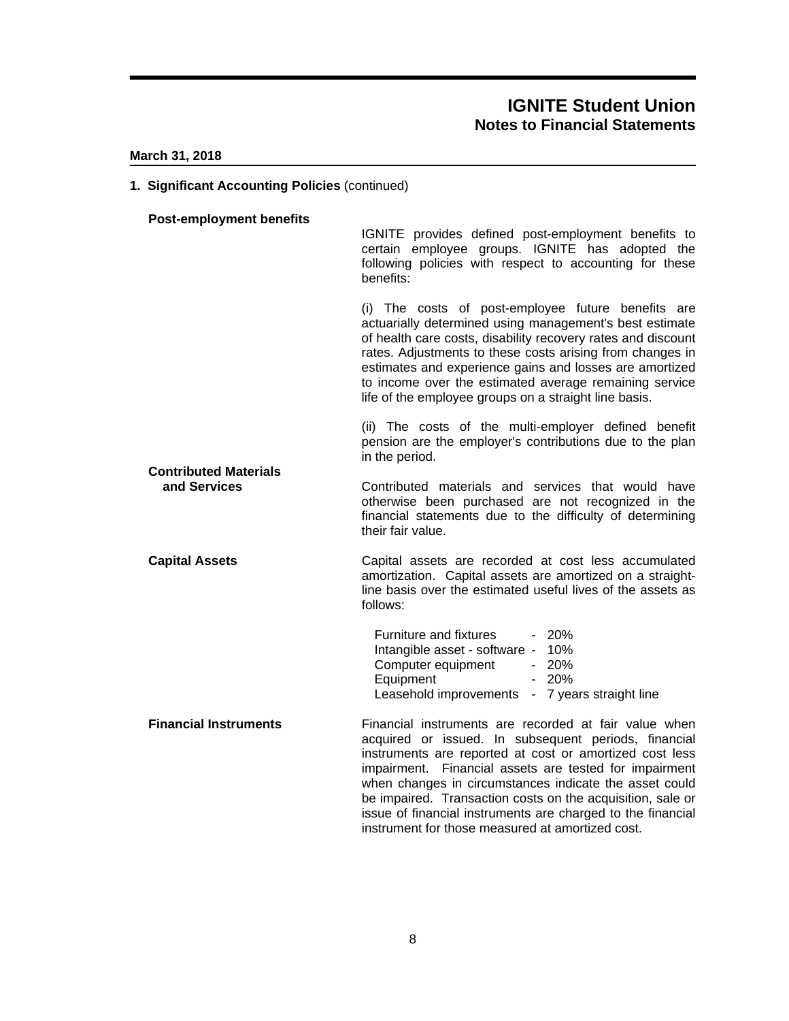#### **March 31, 2018**

#### **1. Significant Accounting Policies** (continued)

## **Post-employment benefits** IGNITE provides defined post-employment benefits to certain employee groups. IGNITE has adopted the following policies with respect to accounting for these benefits: (i) The costs of post-employee future benefits are actuarially determined using management's best estimate of health care costs, disability recovery rates and discount rates. Adjustments to these costs arising from changes in estimates and experience gains and losses are amortized to income over the estimated average remaining service life of the employee groups on a straight line basis. (ii) The costs of the multi-employer defined benefit pension are the employer's contributions due to the plan in the period. **Contributed Materials and Services Contributed** materials and services that would have otherwise been purchased are not recognized in the financial statements due to the difficulty of determining their fair value. **Capital Assets** Capital assets are recorded at cost less accumulated amortization. Capital assets are amortized on a straightline basis over the estimated useful lives of the assets as follows: Furniture and fixtures - 20% Intangible asset - software - 10% Computer equipment - 20%<br>Equipment - 20% Equipment Leasehold improvements - 7 years straight line **Financial Instruments** Financial instruments are recorded at fair value when acquired or issued. In subsequent periods, financial instruments are reported at cost or amortized cost less impairment. Financial assets are tested for impairment when changes in circumstances indicate the asset could be impaired. Transaction costs on the acquisition, sale or

issue of financial instruments are charged to the financial

instrument for those measured at amortized cost.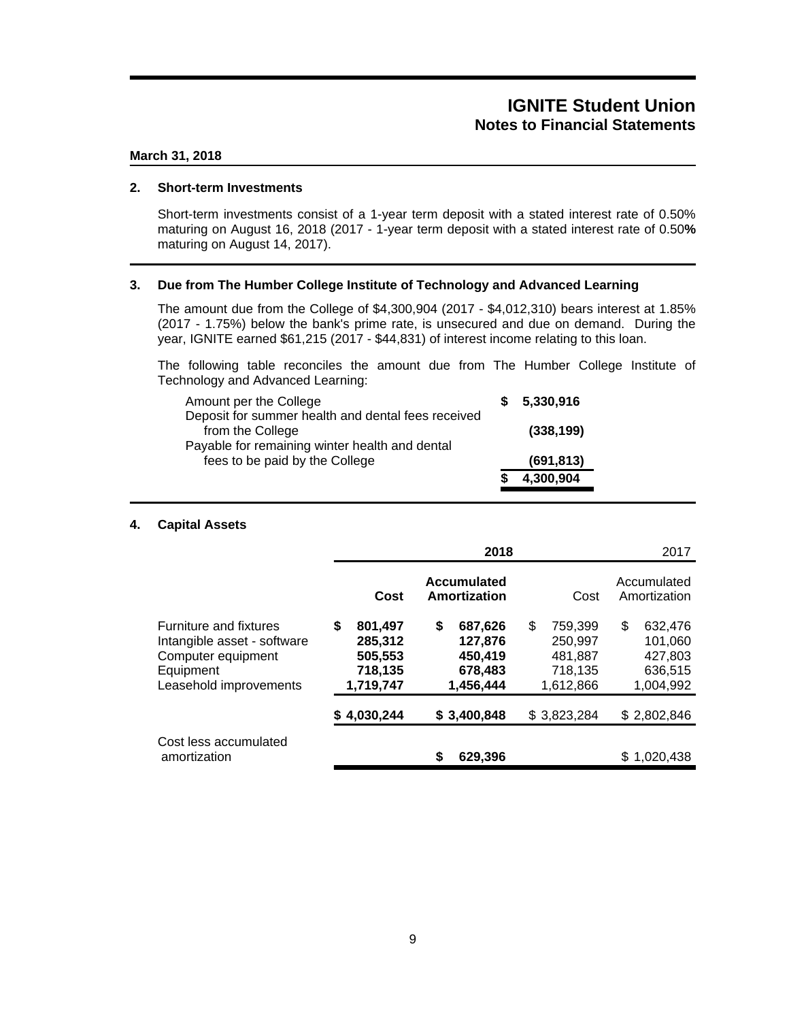#### **March 31, 2018**

#### **2. Short-term Investments**

Short-term investments consist of a 1-year term deposit with a stated interest rate of 0.50% maturing on August 16, 2018 (2017 - 1-year term deposit with a stated interest rate of 0.50**%** maturing on August 14, 2017).

#### **3. Due from The Humber College Institute of Technology and Advanced Learning**

The amount due from the College of \$4,300,904 (2017 - \$4,012,310) bears interest at 1.85% (2017 - 1.75%) below the bank's prime rate, is unsecured and due on demand. During the year, IGNITE earned \$61,215 (2017 - \$44,831) of interest income relating to this loan.

The following table reconciles the amount due from The Humber College Institute of Technology and Advanced Learning:

| Amount per the College                                                           | 5,330,916  |  |
|----------------------------------------------------------------------------------|------------|--|
| Deposit for summer health and dental fees received<br>from the College           | (338, 199) |  |
| Payable for remaining winter health and dental<br>fees to be paid by the College | (691, 813) |  |
|                                                                                  | 4,300,904  |  |

### **4. Capital Assets**

|                                                                                                                           |                                                            | 2018                                                        |                                                             | 2017                                                        |
|---------------------------------------------------------------------------------------------------------------------------|------------------------------------------------------------|-------------------------------------------------------------|-------------------------------------------------------------|-------------------------------------------------------------|
|                                                                                                                           | Cost                                                       | Accumulated<br>Amortization                                 | Cost                                                        | Accumulated<br>Amortization                                 |
| <b>Furniture and fixtures</b><br>Intangible asset - software<br>Computer equipment<br>Equipment<br>Leasehold improvements | S<br>801,497<br>285,312<br>505,553<br>718,135<br>1,719,747 | \$<br>687,626<br>127.876<br>450,419<br>678,483<br>1,456,444 | \$<br>759,399<br>250,997<br>481,887<br>718,135<br>1,612,866 | \$<br>632,476<br>101.060<br>427,803<br>636,515<br>1,004,992 |
|                                                                                                                           | \$4,030,244                                                | \$3,400,848                                                 | \$3,823,284                                                 | \$2,802,846                                                 |
| Cost less accumulated<br>amortization                                                                                     |                                                            | S<br>629,396                                                |                                                             | 1,020,438<br>S.                                             |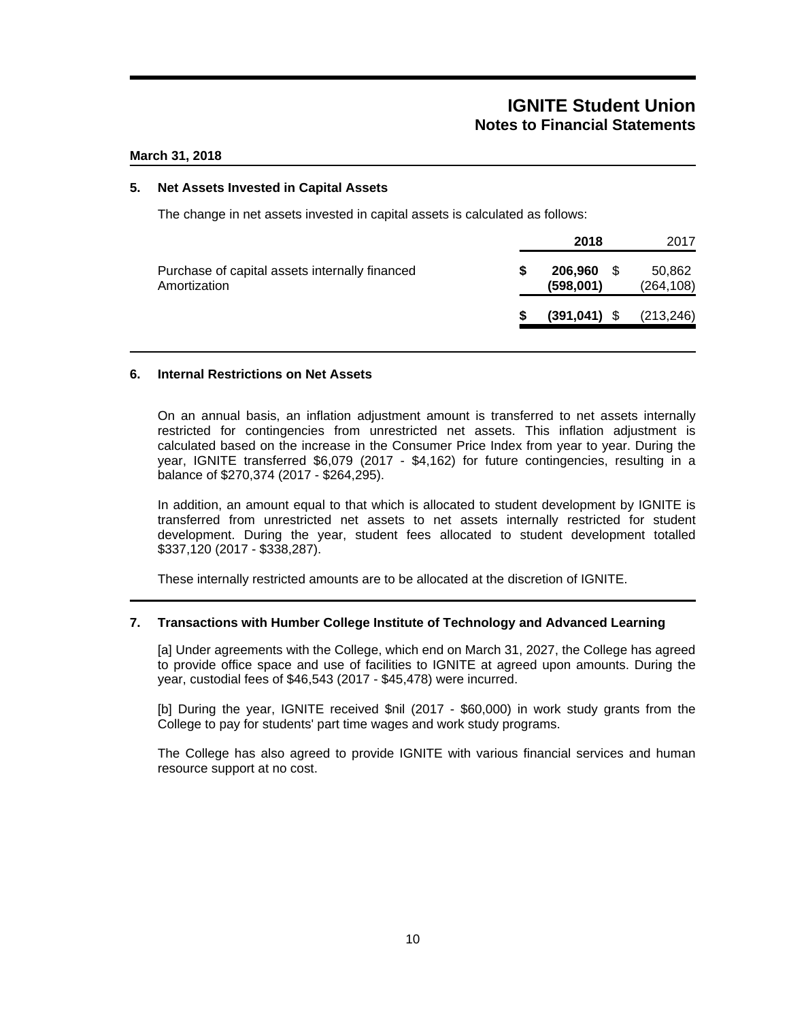### **March 31, 2018**

### **5. Net Assets Invested in Capital Assets**

The change in net assets invested in capital assets is calculated as follows:

|                                                                |   | 2018                 |      |                      |
|----------------------------------------------------------------|---|----------------------|------|----------------------|
| Purchase of capital assets internally financed<br>Amortization | S | 206,960<br>(598,001) | - \$ | 50,862<br>(264, 108) |
|                                                                |   | $(391, 041)$ \$      |      | (213, 246)           |

#### **6. Internal Restrictions on Net Assets**

On an annual basis, an inflation adjustment amount is transferred to net assets internally restricted for contingencies from unrestricted net assets. This inflation adjustment is calculated based on the increase in the Consumer Price Index from year to year. During the year, IGNITE transferred \$6,079 (2017 - \$4,162) for future contingencies, resulting in a balance of \$270,374 (2017 - \$264,295).

In addition, an amount equal to that which is allocated to student development by IGNITE is transferred from unrestricted net assets to net assets internally restricted for student development. During the year, student fees allocated to student development totalled \$337,120 (2017 - \$338,287).

These internally restricted amounts are to be allocated at the discretion of IGNITE.

## **7. Transactions with Humber College Institute of Technology and Advanced Learning**

[a] Under agreements with the College, which end on March 31, 2027, the College has agreed to provide office space and use of facilities to IGNITE at agreed upon amounts. During the year, custodial fees of \$46,543 (2017 - \$45,478) were incurred.

[b] During the year, IGNITE received \$nil (2017 - \$60,000) in work study grants from the College to pay for students' part time wages and work study programs.

The College has also agreed to provide IGNITE with various financial services and human resource support at no cost.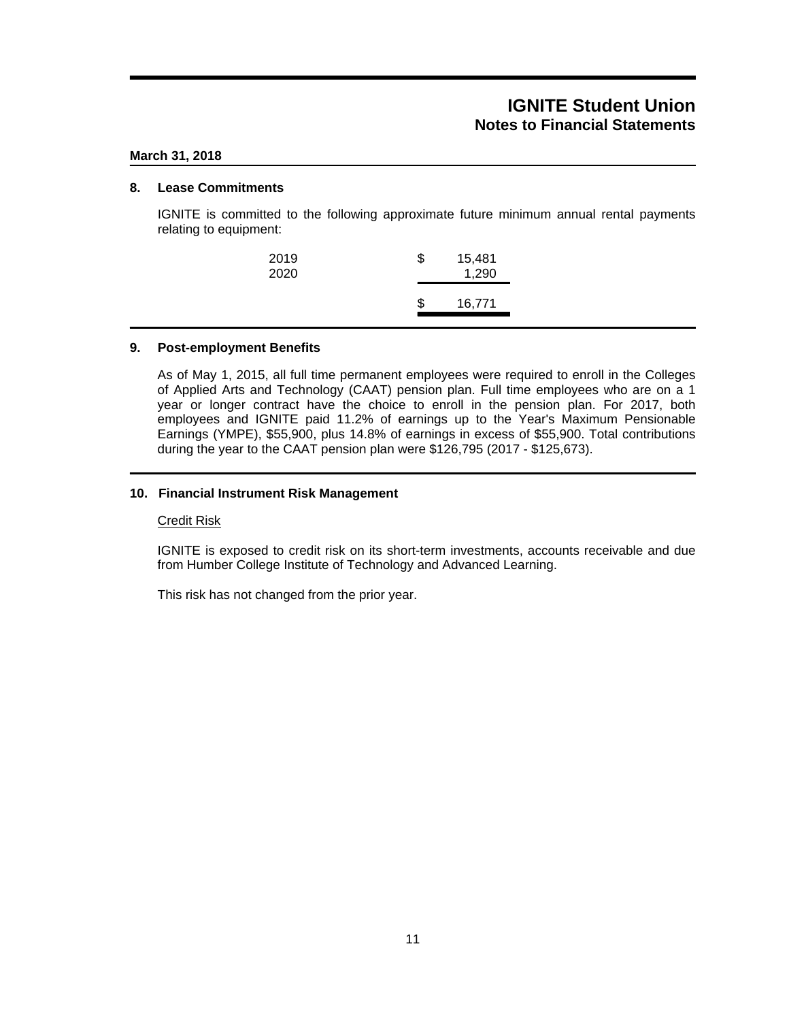### **March 31, 2018**

### **8. Lease Commitments**

IGNITE is committed to the following approximate future minimum annual rental payments relating to equipment:

| 2019<br>2020 | \$<br>15,481<br>1,290 |
|--------------|-----------------------|
|              | \$<br>16,771          |

### **9. Post-employment Benefits**

As of May 1, 2015, all full time permanent employees were required to enroll in the Colleges of Applied Arts and Technology (CAAT) pension plan. Full time employees who are on a 1 year or longer contract have the choice to enroll in the pension plan. For 2017, both employees and IGNITE paid 11.2% of earnings up to the Year's Maximum Pensionable Earnings (YMPE), \$55,900, plus 14.8% of earnings in excess of \$55,900. Total contributions during the year to the CAAT pension plan were \$126,795 (2017 - \$125,673).

### **10. Financial Instrument Risk Management**

#### Credit Risk

IGNITE is exposed to credit risk on its short-term investments, accounts receivable and due from Humber College Institute of Technology and Advanced Learning.

This risk has not changed from the prior year.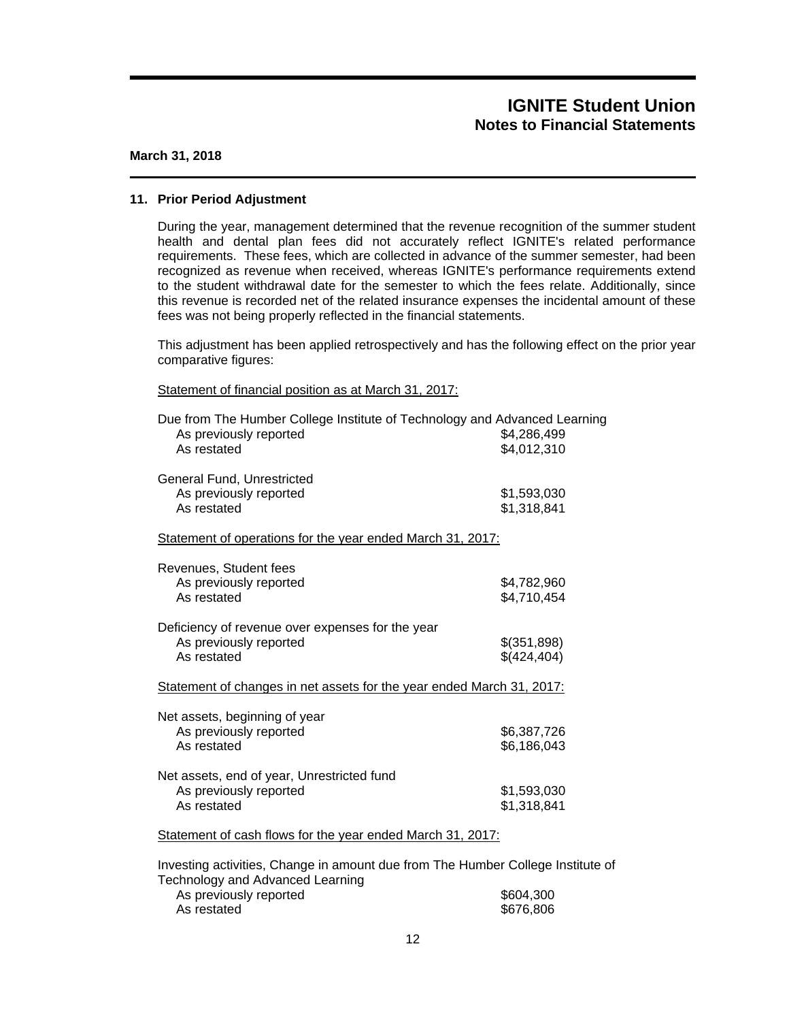#### **March 31, 2018**

#### **11. Prior Period Adjustment**

During the year, management determined that the revenue recognition of the summer student health and dental plan fees did not accurately reflect IGNITE's related performance requirements. These fees, which are collected in advance of the summer semester, had been recognized as revenue when received, whereas IGNITE's performance requirements extend to the student withdrawal date for the semester to which the fees relate. Additionally, since this revenue is recorded net of the related insurance expenses the incidental amount of these fees was not being properly reflected in the financial statements.

This adjustment has been applied retrospectively and has the following effect on the prior year comparative figures:

### Statement of financial position as at March 31, 2017:

| Due from The Humber College Institute of Technology and Advanced Learning<br>As previously reported<br>As restated | \$4,286,499<br>\$4,012,310 |
|--------------------------------------------------------------------------------------------------------------------|----------------------------|
| General Fund, Unrestricted<br>As previously reported<br>As restated                                                | \$1,593,030<br>\$1,318,841 |
| Statement of operations for the year ended March 31, 2017:                                                         |                            |
| Revenues, Student fees<br>As previously reported<br>As restated                                                    | \$4,782,960<br>\$4,710,454 |
| Deficiency of revenue over expenses for the year<br>As previously reported<br>As restated                          | \$(351,898)<br>\$(424,404) |
| Statement of changes in net assets for the year ended March 31, 2017:                                              |                            |
| Net assets, beginning of year<br>As previously reported<br>As restated                                             | \$6,387,726<br>\$6,186,043 |
| Net assets, end of year, Unrestricted fund<br>As previously reported<br>As restated                                | \$1,593,030<br>\$1,318,841 |
| Statement of cash flows for the year ended March 31, 2017:                                                         |                            |

Investing activities, Change in amount due from The Humber College Institute of Technology and Advanced Learning

| As previously reported | \$604,300 |
|------------------------|-----------|
| As restated            | \$676,806 |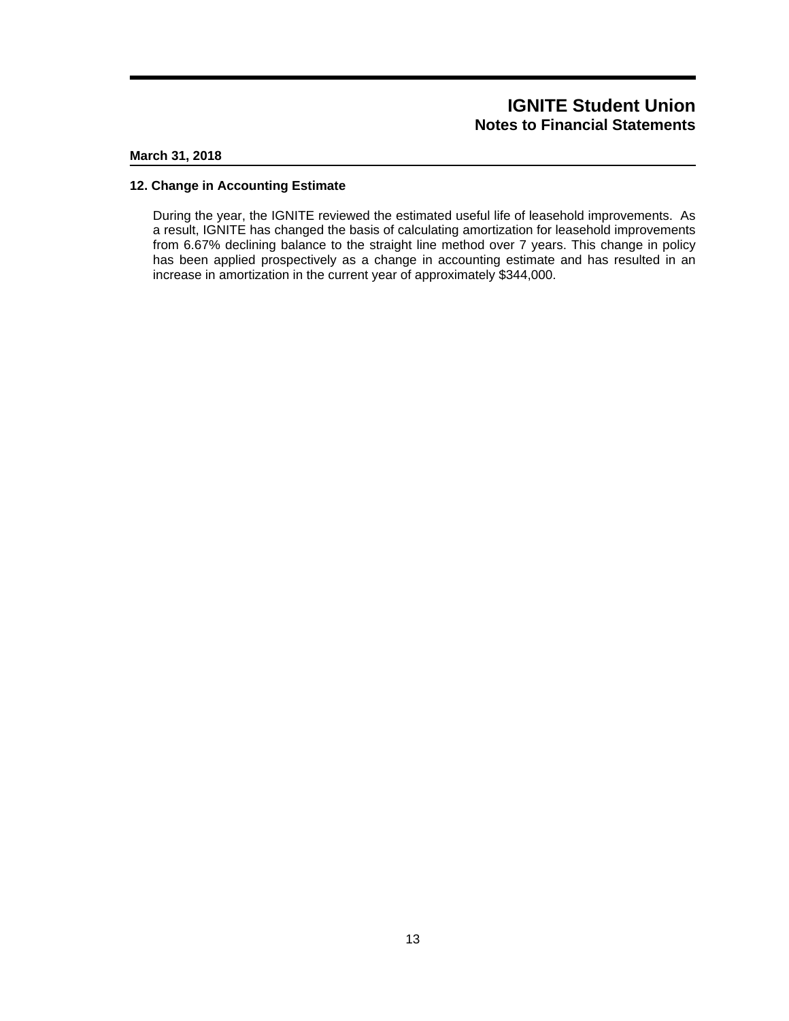### **March 31, 2018**

#### **12. Change in Accounting Estimate**

During the year, the IGNITE reviewed the estimated useful life of leasehold improvements. As a result, IGNITE has changed the basis of calculating amortization for leasehold improvements from 6.67% declining balance to the straight line method over 7 years. This change in policy has been applied prospectively as a change in accounting estimate and has resulted in an increase in amortization in the current year of approximately \$344,000.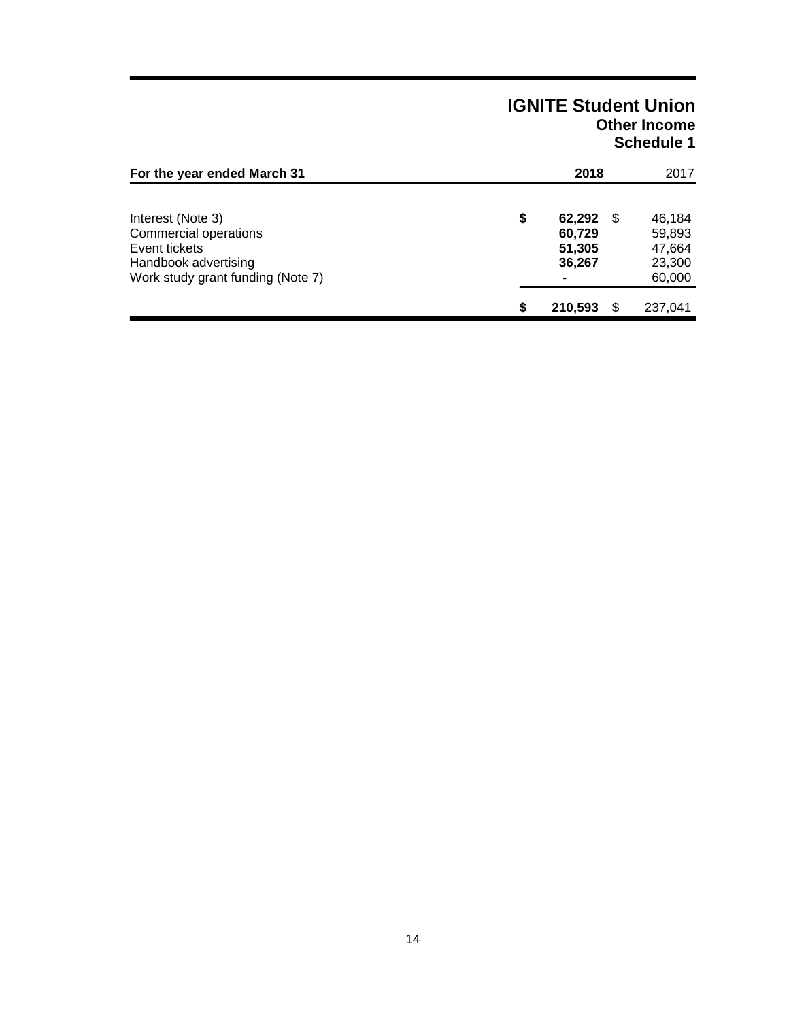# **IGNITE Student Union Other Income Schedule 1**

| For the year ended March 31                                                                                              |    | 2018                                                   |    | 2017                                           |
|--------------------------------------------------------------------------------------------------------------------------|----|--------------------------------------------------------|----|------------------------------------------------|
| Interest (Note 3)<br>Commercial operations<br>Event tickets<br>Handbook advertising<br>Work study grant funding (Note 7) | \$ | 62,292<br>60,729<br>51,305<br>36,267<br>$\blacksquare$ | \$ | 46,184<br>59,893<br>47,664<br>23,300<br>60,000 |
|                                                                                                                          | S  | 210,593                                                | S  | 237,041                                        |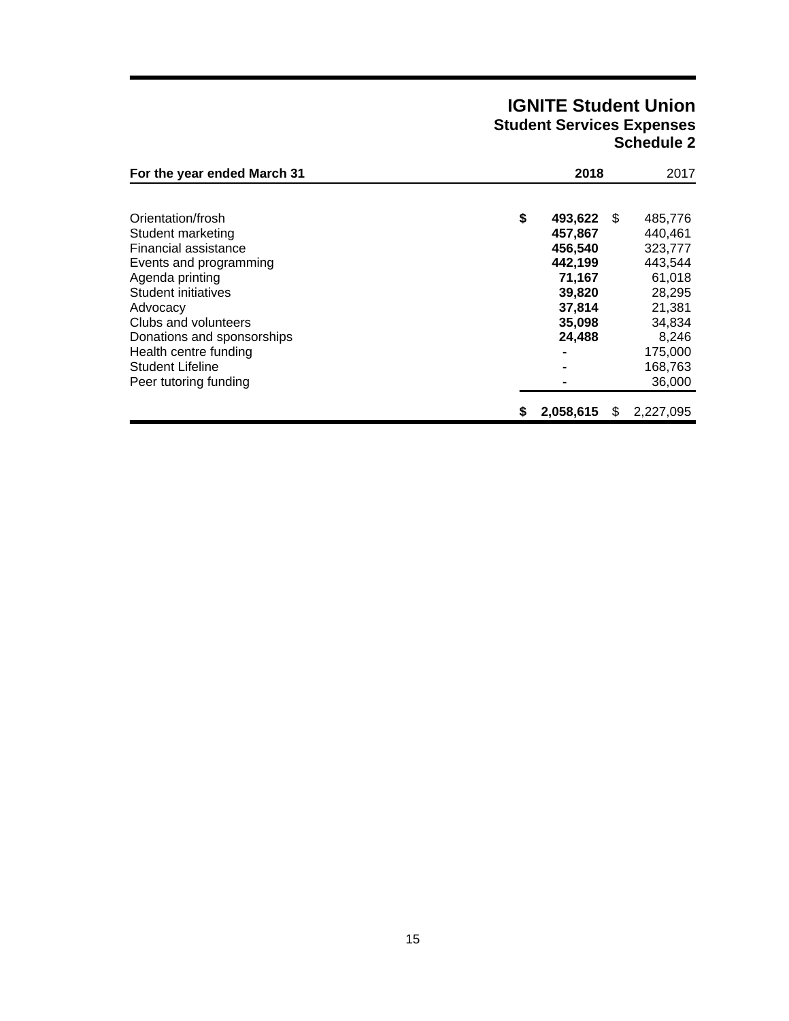# **IGNITE Student Union Student Services Expenses Schedule 2**

| For the year ended March 31                                                    |    | 2018                         |      | 2017                         |  |
|--------------------------------------------------------------------------------|----|------------------------------|------|------------------------------|--|
| Orientation/frosh<br>Student marketing<br>Financial assistance                 | \$ | 493,622<br>457,867           | - \$ | 485,776<br>440.461           |  |
| Events and programming<br>Agenda printing<br>Student initiatives               |    | 456,540<br>442.199<br>71.167 |      | 323,777<br>443.544<br>61,018 |  |
| Advocacy<br>Clubs and volunteers                                               |    | 39,820<br>37,814<br>35,098   |      | 28,295<br>21,381<br>34,834   |  |
| Donations and sponsorships<br>Health centre funding<br><b>Student Lifeline</b> |    | 24,488<br>$\blacksquare$     |      | 8,246<br>175,000<br>168,763  |  |
| Peer tutoring funding                                                          | S  | 2,058,615                    | S    | 36,000<br>2,227,095          |  |